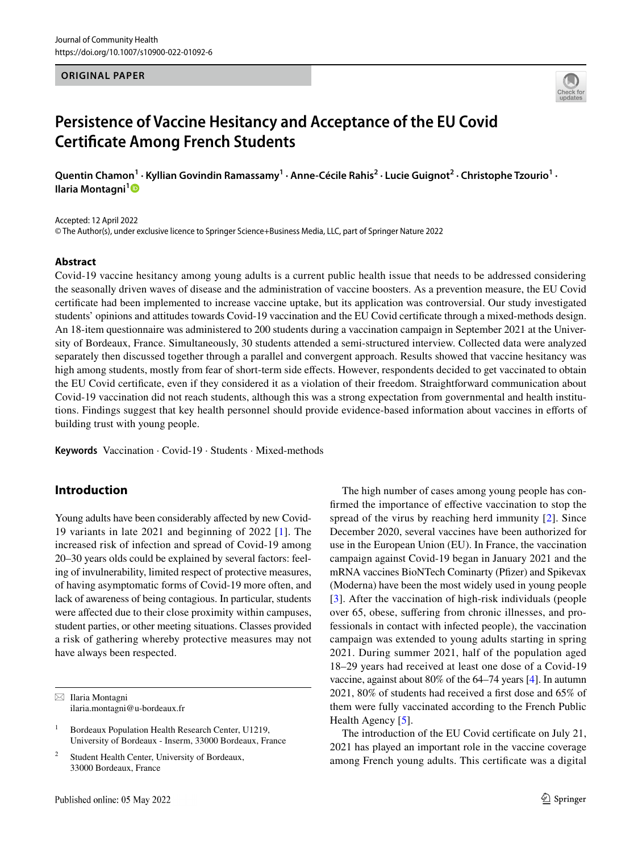### **ORIGINAL PAPER**



# **Persistence of Vaccine Hesitancy and Acceptance of the EU Covid Certificate Among French Students**

**Quentin Chamon<sup>1</sup> · Kyllian Govindin Ramassamy<sup>1</sup> · Anne‑Cécile Rahis<sup>2</sup> · Lucie Guignot<sup>2</sup> · Christophe Tzourio<sup>1</sup> · Ilaria Montagni[1](http://orcid.org/0000-0003-0076-0010)**

Accepted: 12 April 2022 © The Author(s), under exclusive licence to Springer Science+Business Media, LLC, part of Springer Nature 2022

### **Abstract**

Covid-19 vaccine hesitancy among young adults is a current public health issue that needs to be addressed considering the seasonally driven waves of disease and the administration of vaccine boosters. As a prevention measure, the EU Covid certificate had been implemented to increase vaccine uptake, but its application was controversial. Our study investigated students' opinions and attitudes towards Covid-19 vaccination and the EU Covid certificate through a mixed-methods design. An 18-item questionnaire was administered to 200 students during a vaccination campaign in September 2021 at the University of Bordeaux, France. Simultaneously, 30 students attended a semi-structured interview. Collected data were analyzed separately then discussed together through a parallel and convergent approach. Results showed that vaccine hesitancy was high among students, mostly from fear of short-term side effects. However, respondents decided to get vaccinated to obtain the EU Covid certificate, even if they considered it as a violation of their freedom. Straightforward communication about Covid-19 vaccination did not reach students, although this was a strong expectation from governmental and health institutions. Findings suggest that key health personnel should provide evidence-based information about vaccines in efforts of building trust with young people.

**Keywords** Vaccination · Covid-19 · Students · Mixed-methods

# **Introduction**

Young adults have been considerably affected by new Covid-19 variants in late 2021 and beginning of 2022 [\[1\]](#page-6-0). The increased risk of infection and spread of Covid-19 among 20–30 years olds could be explained by several factors: feeling of invulnerability, limited respect of protective measures, of having asymptomatic forms of Covid-19 more often, and lack of awareness of being contagious. In particular, students were affected due to their close proximity within campuses, student parties, or other meeting situations. Classes provided a risk of gathering whereby protective measures may not have always been respected.

 $\boxtimes$  Ilaria Montagni ilaria.montagni@u-bordeaux.fr

The high number of cases among young people has confirmed the importance of effective vaccination to stop the spread of the virus by reaching herd immunity [[2](#page-6-1)]. Since December 2020, several vaccines have been authorized for use in the European Union (EU). In France, the vaccination campaign against Covid-19 began in January 2021 and the mRNA vaccines BioNTech Cominarty (Pfizer) and Spikevax (Moderna) have been the most widely used in young people [[3\]](#page-6-2). After the vaccination of high-risk individuals (people over 65, obese, suffering from chronic illnesses, and professionals in contact with infected people), the vaccination campaign was extended to young adults starting in spring 2021. During summer 2021, half of the population aged 18–29 years had received at least one dose of a Covid-19 vaccine, against about 80% of the 64–74 years [\[4](#page-6-3)]. In autumn 2021, 80% of students had received a first dose and 65% of them were fully vaccinated according to the French Public Health Agency [[5\]](#page-6-4).

The introduction of the EU Covid certificate on July 21, 2021 has played an important role in the vaccine coverage among French young adults. This certificate was a digital

<sup>1</sup> Bordeaux Population Health Research Center, U1219, University of Bordeaux - Inserm, 33000 Bordeaux, France

<sup>2</sup> Student Health Center, University of Bordeaux, 33000 Bordeaux, France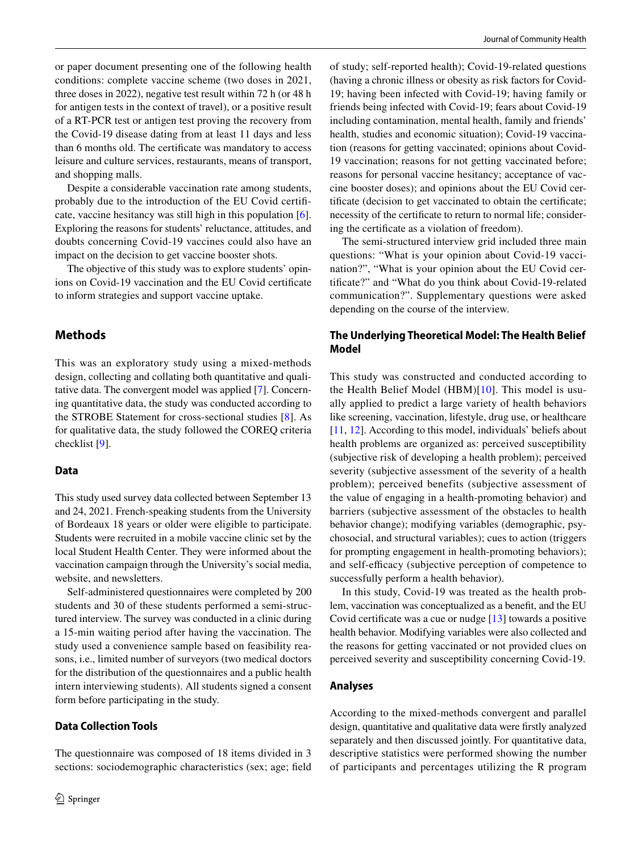or paper document presenting one of the following health conditions: complete vaccine scheme (two doses in 2021, three doses in 2022), negative test result within 72 h (or 48 h for antigen tests in the context of travel), or a positive result of a RT-PCR test or antigen test proving the recovery from the Covid-19 disease dating from at least 11 days and less than 6 months old. The certificate was mandatory to access leisure and culture services, restaurants, means of transport, and shopping malls.

Despite a considerable vaccination rate among students, probably due to the introduction of the EU Covid certificate, vaccine hesitancy was still high in this population [\[6](#page-6-5)]. Exploring the reasons for students' reluctance, attitudes, and doubts concerning Covid-19 vaccines could also have an impact on the decision to get vaccine booster shots.

The objective of this study was to explore students' opinions on Covid-19 vaccination and the EU Covid certificate to inform strategies and support vaccine uptake.

# **Methods**

This was an exploratory study using a mixed-methods design, collecting and collating both quantitative and qualitative data. The convergent model was applied [[7\]](#page-6-6). Concerning quantitative data, the study was conducted according to the STROBE Statement for cross-sectional studies [[8](#page-6-7)]. As for qualitative data, the study followed the COREQ criteria checklist [\[9](#page-6-8)].

### **Data**

This study used survey data collected between September 13 and 24, 2021. French-speaking students from the University of Bordeaux 18 years or older were eligible to participate. Students were recruited in a mobile vaccine clinic set by the local Student Health Center. They were informed about the vaccination campaign through the University's social media, website, and newsletters.

Self-administered questionnaires were completed by 200 students and 30 of these students performed a semi-structured interview. The survey was conducted in a clinic during a 15-min waiting period after having the vaccination. The study used a convenience sample based on feasibility reasons, i.e., limited number of surveyors (two medical doctors for the distribution of the questionnaires and a public health intern interviewing students). All students signed a consent form before participating in the study.

### **Data Collection Tools**

The questionnaire was composed of 18 items divided in 3 sections: sociodemographic characteristics (sex; age; field of study; self-reported health); Covid-19-related questions (having a chronic illness or obesity as risk factors for Covid-19; having been infected with Covid-19; having family or friends being infected with Covid-19; fears about Covid-19 including contamination, mental health, family and friends' health, studies and economic situation); Covid-19 vaccination (reasons for getting vaccinated; opinions about Covid-19 vaccination; reasons for not getting vaccinated before; reasons for personal vaccine hesitancy; acceptance of vaccine booster doses); and opinions about the EU Covid certificate (decision to get vaccinated to obtain the certificate; necessity of the certificate to return to normal life; considering the certificate as a violation of freedom).

The semi-structured interview grid included three main questions: "What is your opinion about Covid-19 vaccination?", "What is your opinion about the EU Covid certificate?" and "What do you think about Covid-19-related communication?". Supplementary questions were asked depending on the course of the interview.

### **The Underlying Theoretical Model: The Health Belief Model**

This study was constructed and conducted according to the Health Belief Model (HBM)[[10](#page-6-9)]. This model is usually applied to predict a large variety of health behaviors like screening, vaccination, lifestyle, drug use, or healthcare [\[11](#page-6-10), [12](#page-6-11)]. According to this model, individuals' beliefs about health problems are organized as: perceived susceptibility (subjective risk of developing a health problem); perceived severity (subjective assessment of the severity of a health problem); perceived benefits (subjective assessment of the value of engaging in a health-promoting behavior) and barriers (subjective assessment of the obstacles to health behavior change); modifying variables (demographic, psychosocial, and structural variables); cues to action (triggers for prompting engagement in health-promoting behaviors); and self-efficacy (subjective perception of competence to successfully perform a health behavior).

In this study, Covid-19 was treated as the health problem, vaccination was conceptualized as a benefit, and the EU Covid certificate was a cue or nudge [[13\]](#page-6-12) towards a positive health behavior. Modifying variables were also collected and the reasons for getting vaccinated or not provided clues on perceived severity and susceptibility concerning Covid-19.

### **Analyses**

According to the mixed-methods convergent and parallel design, quantitative and qualitative data were firstly analyzed separately and then discussed jointly. For quantitative data, descriptive statistics were performed showing the number of participants and percentages utilizing the R program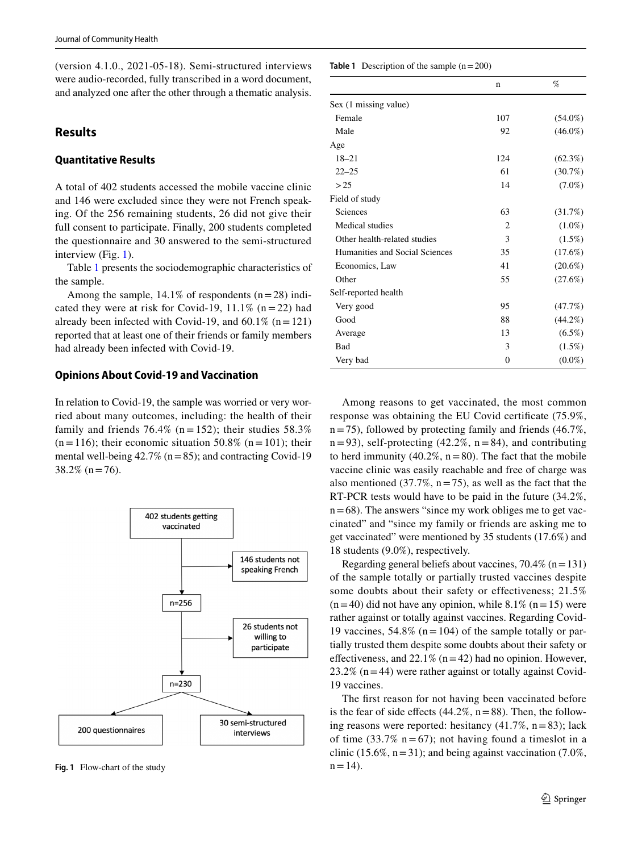(version 4.1.0., 2021-05-18). Semi-structured interviews were audio-recorded, fully transcribed in a word document, and analyzed one after the other through a thematic analysis.

# **Results**

### **Quantitative Results**

A total of 402 students accessed the mobile vaccine clinic and 146 were excluded since they were not French speaking. Of the 256 remaining students, 26 did not give their full consent to participate. Finally, 200 students completed the questionnaire and 30 answered to the semi-structured interview (Fig. [1\)](#page-2-0).

Table [1](#page-2-1) presents the sociodemographic characteristics of the sample.

Among the sample,  $14.1\%$  of respondents (n = 28) indicated they were at risk for Covid-19,  $11.1\%$  (n = 22) had already been infected with Covid-19, and  $60.1\%$  (n = 121) reported that at least one of their friends or family members had already been infected with Covid-19.

# **Opinions About Covid‑19 and Vaccination**

In relation to Covid-19, the sample was worried or very worried about many outcomes, including: the health of their family and friends 76.4% (n = 152); their studies  $58.3\%$  $(n = 116)$ ; their economic situation 50.8%  $(n = 101)$ ; their mental well-being  $42.7\%$  (n = 85); and contracting Covid-19  $38.2\%$  (n = 76).



<span id="page-2-0"></span>**Fig. 1** Flow-chart of the study  $n = 14$ .

<span id="page-2-1"></span>**Table 1** Description of the sample  $(n = 200)$ 

|                                | n              | %          |
|--------------------------------|----------------|------------|
| Sex (1 missing value)          |                |            |
| Female                         | 107            | $(54.0\%)$ |
| Male                           | 92             | $(46.0\%)$ |
| Age                            |                |            |
| $18 - 21$                      | 124            | $(62.3\%)$ |
| $22 - 25$                      | 61             | $(30.7\%)$ |
| >25                            | 14             | $(7.0\%)$  |
| Field of study                 |                |            |
| Sciences                       | 63             | (31.7%)    |
| Medical studies                | $\overline{c}$ | $(1.0\%)$  |
| Other health-related studies   | 3              | $(1.5\%)$  |
| Humanities and Social Sciences | 35             | (17.6%)    |
| Economics, Law                 | 41             | $(20.6\%)$ |
| Other                          | 55             | (27.6%)    |
| Self-reported health           |                |            |
| Very good                      | 95             | (47.7%)    |
| Good                           | 88             | $(44.2\%)$ |
| Average                        | 13             | $(6.5\%)$  |
| Bad                            | 3              | $(1.5\%)$  |
| Very bad                       | $\mathbf{0}$   | $(0.0\%)$  |

Among reasons to get vaccinated, the most common response was obtaining the EU Covid certificate (75.9%,  $n = 75$ ), followed by protecting family and friends (46.7%,  $n = 93$ , self-protecting (42.2%,  $n = 84$ ), and contributing to herd immunity (40.2%,  $n = 80$ ). The fact that the mobile vaccine clinic was easily reachable and free of charge was also mentioned (37.7%,  $n = 75$ ), as well as the fact that the RT-PCR tests would have to be paid in the future (34.2%,  $n = 68$ ). The answers "since my work obliges me to get vaccinated" and "since my family or friends are asking me to get vaccinated" were mentioned by 35 students (17.6%) and 18 students (9.0%), respectively.

Regarding general beliefs about vaccines,  $70.4\%$  (n = 131) of the sample totally or partially trusted vaccines despite some doubts about their safety or effectiveness; 21.5%  $(n=40)$  did not have any opinion, while 8.1%  $(n=15)$  were rather against or totally against vaccines. Regarding Covid-19 vaccines,  $54.8\%$  (n = 104) of the sample totally or partially trusted them despite some doubts about their safety or effectiveness, and  $22.1\%$  (n = 42) had no opinion. However, 23.2% ( $n = 44$ ) were rather against or totally against Covid-19 vaccines.

The first reason for not having been vaccinated before is the fear of side effects (44.2%,  $n = 88$ ). Then, the following reasons were reported: hesitancy  $(41.7\%, n=83)$ ; lack of time (33.7%  $n = 67$ ); not having found a timeslot in a clinic (15.6%,  $n = 31$ ); and being against vaccination (7.0%,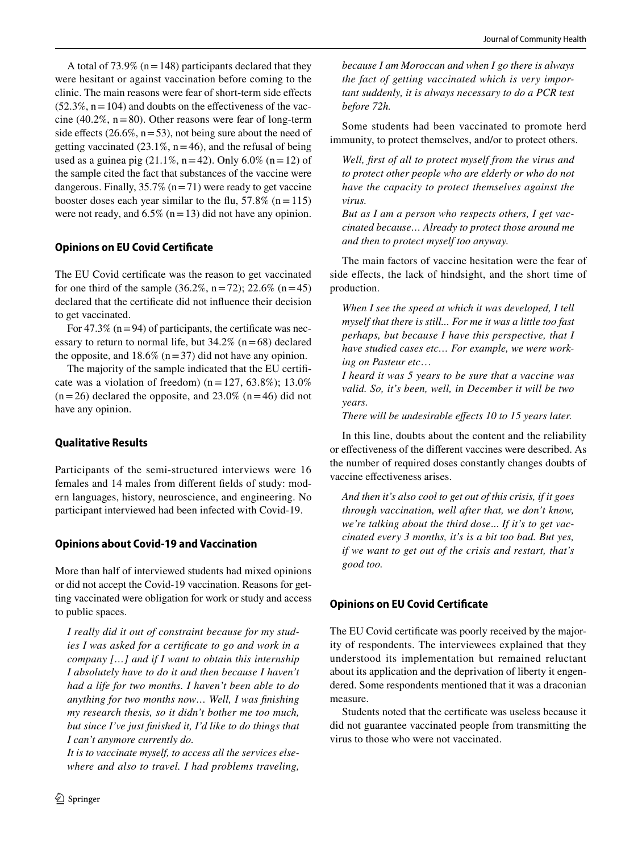A total of 73.9% ( $n = 148$ ) participants declared that they were hesitant or against vaccination before coming to the clinic. The main reasons were fear of short-term side effects  $(52.3\%, n = 104)$  and doubts on the effectiveness of the vaccine (40.2%,  $n = 80$ ). Other reasons were fear of long-term side effects (26.6%,  $n = 53$ ), not being sure about the need of getting vaccinated  $(23.1\%, n=46)$ , and the refusal of being used as a guinea pig  $(21.1\%, n=42)$ . Only 6.0%  $(n=12)$  of the sample cited the fact that substances of the vaccine were dangerous. Finally,  $35.7\%$  (n = 71) were ready to get vaccine booster doses each year similar to the flu,  $57.8\%$  (n = 115) were not ready, and  $6.5\%$  (n = 13) did not have any opinion.

# **Opinions on EU Covid Certificate**

The EU Covid certificate was the reason to get vaccinated for one third of the sample  $(36.2\%, n=72)$ ; 22.6%  $(n=45)$ declared that the certificate did not influence their decision to get vaccinated.

For 47.3% ( $n = 94$ ) of participants, the certificate was necessary to return to normal life, but  $34.2\%$  (n = 68) declared the opposite, and  $18.6\%$  (n = 37) did not have any opinion.

The majority of the sample indicated that the EU certificate was a violation of freedom) ( $n = 127, 63.8\%$ ); 13.0%  $(n=26)$  declared the opposite, and 23.0%  $(n=46)$  did not have any opinion.

# **Qualitative Results**

Participants of the semi-structured interviews were 16 females and 14 males from different fields of study: modern languages, history, neuroscience, and engineering. No participant interviewed had been infected with Covid-19.

# **Opinions about Covid‑19 and Vaccination**

More than half of interviewed students had mixed opinions or did not accept the Covid-19 vaccination. Reasons for getting vaccinated were obligation for work or study and access to public spaces.

*I really did it out of constraint because for my studies I was asked for a certificate to go and work in a company […] and if I want to obtain this internship I absolutely have to do it and then because I haven't had a life for two months. I haven't been able to do anything for two months now… Well, I was finishing my research thesis, so it didn't bother me too much, but since I've just finished it, I'd like to do things that I can't anymore currently do.*

*It is to vaccinate myself, to access all the services elsewhere and also to travel. I had problems traveling,*  *because I am Moroccan and when I go there is always the fact of getting vaccinated which is very important suddenly, it is always necessary to do a PCR test before 72h.*

Some students had been vaccinated to promote herd immunity, to protect themselves, and/or to protect others.

*Well, first of all to protect myself from the virus and to protect other people who are elderly or who do not have the capacity to protect themselves against the virus.*

*But as I am a person who respects others, I get vaccinated because… Already to protect those around me and then to protect myself too anyway.*

The main factors of vaccine hesitation were the fear of side effects, the lack of hindsight, and the short time of production.

*When I see the speed at which it was developed, I tell myself that there is still... For me it was a little too fast perhaps, but because I have this perspective, that I have studied cases etc… For example, we were working on Pasteur etc*…

*I heard it was 5 years to be sure that a vaccine was valid. So, it's been, well, in December it will be two years.*

*There will be undesirable effects 10 to 15 years later.*

In this line, doubts about the content and the reliability or effectiveness of the different vaccines were described. As the number of required doses constantly changes doubts of vaccine effectiveness arises.

*And then it's also cool to get out of this crisis, if it goes through vaccination, well after that, we don't know, we're talking about the third dose*... *If it's to get vaccinated every 3 months, it's is a bit too bad. But yes, if we want to get out of the crisis and restart, that's good too.*

# **Opinions on EU Covid Certificate**

The EU Covid certificate was poorly received by the majority of respondents. The interviewees explained that they understood its implementation but remained reluctant about its application and the deprivation of liberty it engendered. Some respondents mentioned that it was a draconian measure.

Students noted that the certificate was useless because it did not guarantee vaccinated people from transmitting the virus to those who were not vaccinated.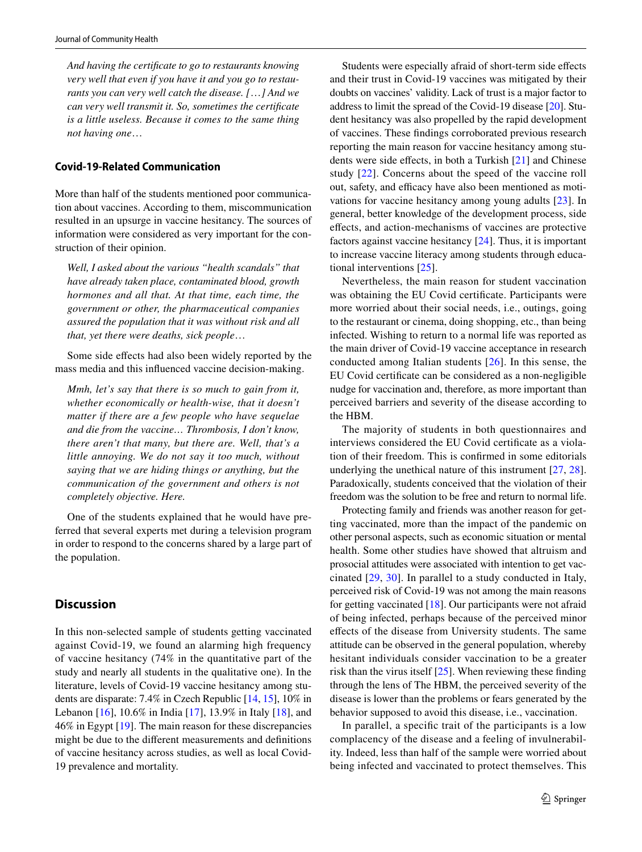*And having the certificate to go to restaurants knowing very well that even if you have it and you go to restaurants you can very well catch the disease. [*…*] And we can very well transmit it. So, sometimes the certificate is a little useless. Because it comes to the same thing not having one*…

### **Covid‑19‑Related Communication**

More than half of the students mentioned poor communication about vaccines. According to them, miscommunication resulted in an upsurge in vaccine hesitancy. The sources of information were considered as very important for the construction of their opinion.

*Well, I asked about the various "health scandals" that have already taken place, contaminated blood, growth hormones and all that. At that time, each time, the government or other, the pharmaceutical companies assured the population that it was without risk and all that, yet there were deaths, sick people*…

Some side effects had also been widely reported by the mass media and this influenced vaccine decision-making.

*Mmh, let's say that there is so much to gain from it, whether economically or health-wise, that it doesn't matter if there are a few people who have sequelae and die from the vaccine… Thrombosis, I don't know, there aren't that many, but there are. Well, that's a little annoying. We do not say it too much, without saying that we are hiding things or anything, but the communication of the government and others is not completely objective. Here.*

One of the students explained that he would have preferred that several experts met during a television program in order to respond to the concerns shared by a large part of the population.

### **Discussion**

In this non-selected sample of students getting vaccinated against Covid-19, we found an alarming high frequency of vaccine hesitancy (74% in the quantitative part of the study and nearly all students in the qualitative one). In the literature, levels of Covid-19 vaccine hesitancy among students are disparate: 7.4% in Czech Republic [\[14](#page-6-13), [15\]](#page-6-14), 10% in Lebanon [\[16](#page-6-15)], 10.6% in India [\[17](#page-6-16)], 13.9% in Italy [\[18](#page-6-17)], and 46% in Egypt [[19\]](#page-6-18). The main reason for these discrepancies might be due to the different measurements and definitions of vaccine hesitancy across studies, as well as local Covid-19 prevalence and mortality.

Students were especially afraid of short-term side effects and their trust in Covid-19 vaccines was mitigated by their doubts on vaccines' validity. Lack of trust is a major factor to address to limit the spread of the Covid-19 disease [[20\]](#page-6-19). Student hesitancy was also propelled by the rapid development of vaccines. These findings corroborated previous research reporting the main reason for vaccine hesitancy among students were side effects, in both a Turkish [\[21](#page-6-20)] and Chinese study [\[22\]](#page-6-21). Concerns about the speed of the vaccine roll out, safety, and efficacy have also been mentioned as motivations for vaccine hesitancy among young adults [[23](#page-6-22)]. In general, better knowledge of the development process, side effects, and action-mechanisms of vaccines are protective factors against vaccine hesitancy [[24\]](#page-6-23). Thus, it is important to increase vaccine literacy among students through educational interventions [\[25](#page-7-0)].

Nevertheless, the main reason for student vaccination was obtaining the EU Covid certificate. Participants were more worried about their social needs, i.e., outings, going to the restaurant or cinema, doing shopping, etc., than being infected. Wishing to return to a normal life was reported as the main driver of Covid-19 vaccine acceptance in research conducted among Italian students [[26](#page-7-1)]. In this sense, the EU Covid certificate can be considered as a non-negligible nudge for vaccination and, therefore, as more important than perceived barriers and severity of the disease according to the HBM.

The majority of students in both questionnaires and interviews considered the EU Covid certificate as a violation of their freedom. This is confirmed in some editorials underlying the unethical nature of this instrument [[27](#page-7-2), [28](#page-7-3)]. Paradoxically, students conceived that the violation of their freedom was the solution to be free and return to normal life.

Protecting family and friends was another reason for getting vaccinated, more than the impact of the pandemic on other personal aspects, such as economic situation or mental health. Some other studies have showed that altruism and prosocial attitudes were associated with intention to get vaccinated [\[29,](#page-7-4) [30\]](#page-7-5). In parallel to a study conducted in Italy, perceived risk of Covid-19 was not among the main reasons for getting vaccinated [\[18](#page-6-17)]. Our participants were not afraid of being infected, perhaps because of the perceived minor effects of the disease from University students. The same attitude can be observed in the general population, whereby hesitant individuals consider vaccination to be a greater risk than the virus itself [\[25](#page-7-0)]. When reviewing these finding through the lens of The HBM, the perceived severity of the disease is lower than the problems or fears generated by the behavior supposed to avoid this disease, i.e., vaccination.

In parallel, a specific trait of the participants is a low complacency of the disease and a feeling of invulnerability. Indeed, less than half of the sample were worried about being infected and vaccinated to protect themselves. This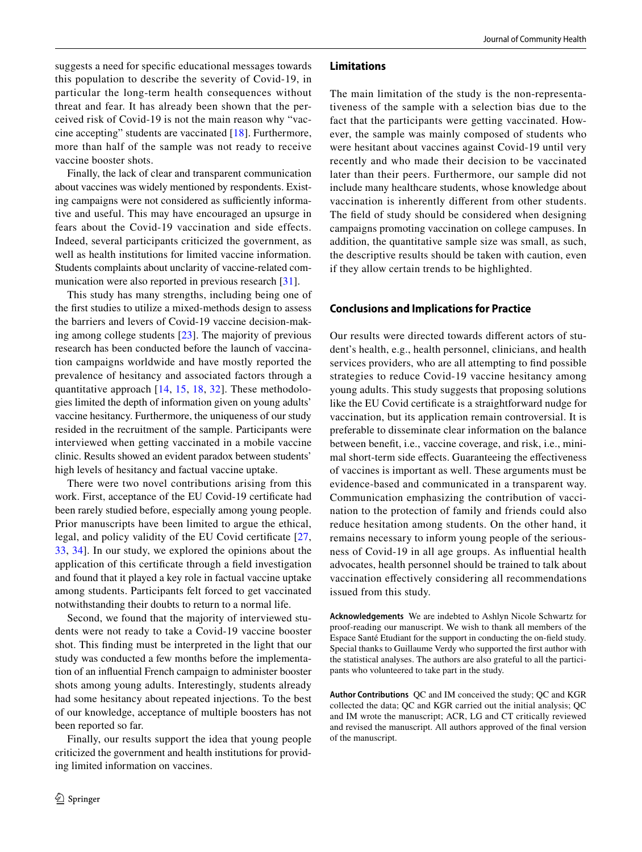suggests a need for specific educational messages towards this population to describe the severity of Covid-19, in particular the long-term health consequences without threat and fear. It has already been shown that the perceived risk of Covid-19 is not the main reason why "vaccine accepting" students are vaccinated [[18\]](#page-6-17). Furthermore, more than half of the sample was not ready to receive vaccine booster shots.

Finally, the lack of clear and transparent communication about vaccines was widely mentioned by respondents. Existing campaigns were not considered as sufficiently informative and useful. This may have encouraged an upsurge in fears about the Covid-19 vaccination and side effects. Indeed, several participants criticized the government, as well as health institutions for limited vaccine information. Students complaints about unclarity of vaccine-related communication were also reported in previous research [[31\]](#page-7-6).

This study has many strengths, including being one of the first studies to utilize a mixed-methods design to assess the barriers and levers of Covid-19 vaccine decision-making among college students [\[23\]](#page-6-22). The majority of previous research has been conducted before the launch of vaccination campaigns worldwide and have mostly reported the prevalence of hesitancy and associated factors through a quantitative approach [[14](#page-6-13), [15](#page-6-14), [18](#page-6-17), [32\]](#page-7-7). These methodologies limited the depth of information given on young adults' vaccine hesitancy. Furthermore, the uniqueness of our study resided in the recruitment of the sample. Participants were interviewed when getting vaccinated in a mobile vaccine clinic. Results showed an evident paradox between students' high levels of hesitancy and factual vaccine uptake.

There were two novel contributions arising from this work. First, acceptance of the EU Covid-19 certificate had been rarely studied before, especially among young people. Prior manuscripts have been limited to argue the ethical, legal, and policy validity of the EU Covid certificate [\[27,](#page-7-2) [33](#page-7-8), [34](#page-7-9)]. In our study, we explored the opinions about the application of this certificate through a field investigation and found that it played a key role in factual vaccine uptake among students. Participants felt forced to get vaccinated notwithstanding their doubts to return to a normal life.

Second, we found that the majority of interviewed students were not ready to take a Covid-19 vaccine booster shot. This finding must be interpreted in the light that our study was conducted a few months before the implementation of an influential French campaign to administer booster shots among young adults. Interestingly, students already had some hesitancy about repeated injections. To the best of our knowledge, acceptance of multiple boosters has not been reported so far.

Finally, our results support the idea that young people criticized the government and health institutions for providing limited information on vaccines.

#### **Limitations**

The main limitation of the study is the non-representativeness of the sample with a selection bias due to the fact that the participants were getting vaccinated. However, the sample was mainly composed of students who were hesitant about vaccines against Covid-19 until very recently and who made their decision to be vaccinated later than their peers. Furthermore, our sample did not include many healthcare students, whose knowledge about vaccination is inherently different from other students. The field of study should be considered when designing campaigns promoting vaccination on college campuses. In addition, the quantitative sample size was small, as such, the descriptive results should be taken with caution, even if they allow certain trends to be highlighted.

### **Conclusions and Implications for Practice**

Our results were directed towards different actors of student's health, e.g., health personnel, clinicians, and health services providers, who are all attempting to find possible strategies to reduce Covid-19 vaccine hesitancy among young adults. This study suggests that proposing solutions like the EU Covid certificate is a straightforward nudge for vaccination, but its application remain controversial. It is preferable to disseminate clear information on the balance between benefit, i.e., vaccine coverage, and risk, i.e., minimal short-term side effects. Guaranteeing the effectiveness of vaccines is important as well. These arguments must be evidence-based and communicated in a transparent way. Communication emphasizing the contribution of vaccination to the protection of family and friends could also reduce hesitation among students. On the other hand, it remains necessary to inform young people of the seriousness of Covid-19 in all age groups. As influential health advocates, health personnel should be trained to talk about vaccination effectively considering all recommendations issued from this study.

**Acknowledgements** We are indebted to Ashlyn Nicole Schwartz for proof-reading our manuscript. We wish to thank all members of the Espace Santé Etudiant for the support in conducting the on-field study. Special thanks to Guillaume Verdy who supported the first author with the statistical analyses. The authors are also grateful to all the participants who volunteered to take part in the study.

**Author Contributions** QC and IM conceived the study; QC and KGR collected the data; QC and KGR carried out the initial analysis; QC and IM wrote the manuscript; ACR, LG and CT critically reviewed and revised the manuscript. All authors approved of the final version of the manuscript.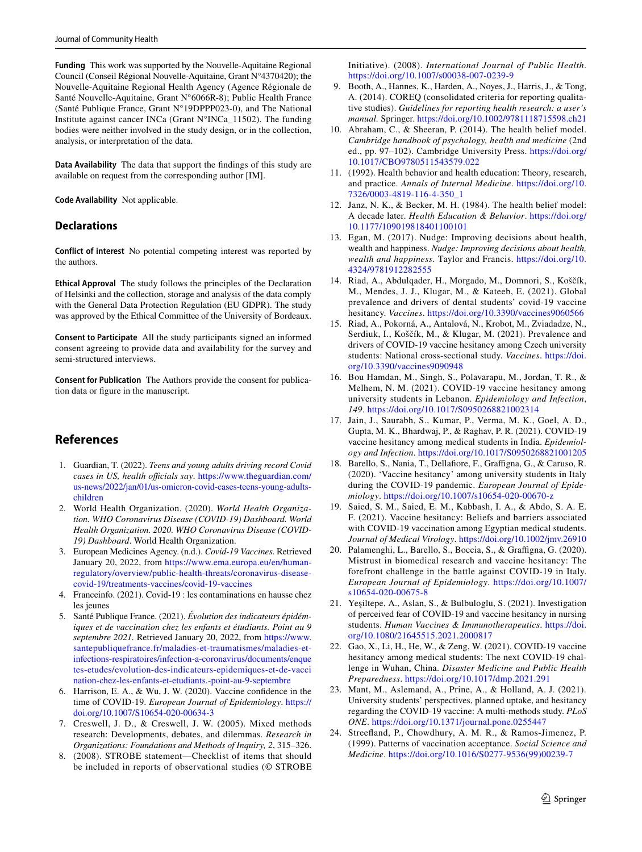**Funding** This work was supported by the Nouvelle-Aquitaine Regional Council (Conseil Régional Nouvelle-Aquitaine, Grant N°4370420); the Nouvelle-Aquitaine Regional Health Agency (Agence Régionale de Santé Nouvelle-Aquitaine, Grant N°6066R-8); Public Health France (Santé Publique France, Grant N°19DPPP023-0), and The National Institute against cancer INCa (Grant N°INCa\_11502). The funding bodies were neither involved in the study design, or in the collection, analysis, or interpretation of the data.

**Data Availability** The data that support the findings of this study are available on request from the corresponding author [IM].

**Code Availability** Not applicable.

### **Declarations**

**Conflict of interest** No potential competing interest was reported by the authors.

**Ethical Approval** The study follows the principles of the Declaration of Helsinki and the collection, storage and analysis of the data comply with the General Data Protection Regulation (EU GDPR). The study was approved by the Ethical Committee of the University of Bordeaux.

**Consent to Participate** All the study participants signed an informed consent agreeing to provide data and availability for the survey and semi-structured interviews.

**Consent for Publication** The Authors provide the consent for publication data or figure in the manuscript.

# **References**

- <span id="page-6-0"></span> 1. Guardian, T. (2022). *Teens and young adults driving record Covid cases in US, health officials say. https://www.theguardian.com/* us-news/2022/jan/01/us-omicron-covid-cases-teens-young-adults[child ren](https://www.theguardian.com/us-news/2022/jan/01/us-omicron-covid-cases-teens-young-adults-children)
- <span id="page-6-1"></span> 2. World Health Organization. (2020). *World Health Organization. WHO Coronavirus Disease (COVID-19) Dashboard. World Health Organization. 2020. WHO Coronavirus Disease (COVID-19) Dashboard*. World Health Organization.
- <span id="page-6-2"></span> 3. European Medicines Agency. (n.d.). *Covid-19 Vaccines*. Retrieved January 20, 2022, from https://www.ema.europa.eu/en/humanregulatory/overview/public-health-threats/coronavirus-diseasecovid-19/treatments-vaccines/covid-19-vaccines
- <span id="page-6-3"></span> 4. Franceinfo. (2021). Covid-19 : les contaminations en hausse chez les jeunes
- <span id="page-6-4"></span> 5. Santé Publique France. (2021). *Évolution des indicateurs épidémiques et de vaccination chez les enfants et étudiants. Point au 9*  septembre 2021. Retrieved January 20, 2022, from https://www. sante publique france. fr/maladies-et-traum atismes/maladies-etinfections-respiratoires/infection-a-coronavirus/documents/enque tes-etudes/ evolution- des-indicateurs- epide miques- et- de-vacci nation-chez-les-enfants-et-etudiants.-point-au-9-septembre
- <span id="page-6-5"></span> 6. Harrison, E. A., & Wu, J. W. (2020). Vaccine confidence in the time of COVID-19. *European Journal of Epidemiology*. [https://](https://doi.org/10.1007/S10654-020-00634-3) doi.org/10.1007/S10654-020-00634-3
- <span id="page-6-6"></span> 7. Creswell, J. D., & Creswell, J. W. (2005). Mixed methods research: Developments, debates, and dilemmas. *Research in Organizations: Foundations and Methods of Inquiry, 2*, 315–326.
- <span id="page-6-7"></span> 8. (2008). STROBE statement—Checklist of items that should be included in reports of observational studies (© STROBE

Initiative). (2008). *International Journal of Public Health*. https://doi.org/10.1007/s00038-007-0239-9

- <span id="page-6-8"></span> 9. Booth, A., Hannes, K., Harden, A., Noyes, J., Harris, J., & Tong, A. (2014). COREQ (consolidated criteria for reporting qualitative studies). *Guidelines for reporting health research: a user's manual.* Springer. https://doi.org/10.1002/9781118715598.ch21
- <span id="page-6-9"></span> 10. Abraham, C., & Sheeran, P. (2014). The health belief model. *Cambridge handbook of psychology, health and medicine* (2nd ed., pp. 97-102). Cambridge University Press. https://doi.org/ 10.1017/CBO9780511543579.022
- <span id="page-6-10"></span> 11. (1992). Health behavior and health education: Theory, research, and practice. Annals of Internal Medicine. https://doi.org/10. 7326/0003-4819-116-4-350\_1
- <span id="page-6-11"></span> 12. Janz, N. K., & Becker, M. H. (1984). The health belief model: A decade later. *Health Education & Behavior*. [https:// doi. org/](https://doi.org/10.1177/109019818401100101) 10.1177/109019818401100101
- <span id="page-6-12"></span> 13. Egan, M. (2017). Nudge: Improving decisions about health, wealth and happiness. *Nudge: Improving decisions about health, wealth and happiness.* Taylor and Francis. https://doi.org/10. 4324/9781912282555
- <span id="page-6-13"></span> 14. Riad, A., Abdulqader, H., Morgado, M., Domnori, S., Koščík, M., Mendes, J. J., Klugar, M., & Kateeb, E. (2021). Global prevalence and drivers of dental students' covid-19 vaccine hesitancy. *Vaccines*. https://doi.org/10.3390/vaccines9060566
- <span id="page-6-14"></span> 15. Riad, A., Pokorná, A., Antalová, N., Krobot, M., Zviadadze, N., Serdiuk, I., Koščík, M., & Klugar, M. (2021). Prevalence and drivers of COVID-19 vaccine hesitancy among Czech university students: National cross-sectional study. *Vaccines*. https://doi. org/10.3390/vaccines9090948
- <span id="page-6-15"></span> 16. Bou Hamdan, M., Singh, S., Polavarapu, M., Jordan, T. R., & Melhem, N. M. (2021). COVID-19 vaccine hesitancy among university students in Lebanon. *Epidemiology and Infection*, *149. https://doi.org/10.1017/S0950268821002314*
- <span id="page-6-16"></span> 17. Jain, J., Saurabh, S., Kumar, P., Verma, M. K., Goel, A. D., Gupta, M. K., Bhardwaj, P., & Raghav, P. R. (2021). COVID-19 vaccine hesitancy among medical students in India. *Epidemiology and Infection. https://doi.org/10.1017/S0950268821001205*
- <span id="page-6-17"></span> 18. Barello, S., Nania, T., Dellafiore, F., Graffigna, G., & Caruso, R. (2020). 'Vaccine hesitancy' among university students in Italy during the COVID-19 pandemic. *European Journal of Epidemiology*. [https:// doi. org/ 10. 1007/ s10654- 020- 00670-z](https://doi.org/10.1007/s10654-020-00670-z)
- <span id="page-6-18"></span> 19. Saied, S. M., Saied, E. M., Kabbash, I. A., & Abdo, S. A. E. F. (2021). Vaccine hesitancy: Beliefs and barriers associated with COVID-19 vaccination among Egyptian medical students. Journal of Medical Virology. https://doi.org/10.1002/jmv.26910
- <span id="page-6-19"></span> 20. Palamenghi, L., Barello, S., Boccia, S., & Graffigna, G. (2020). Mistrust in biomedical research and vaccine hesitancy: The forefront challenge in the battle against COVID-19 in Italy. *European Journal of Epidemiology*. [https:// doi. org/ 10. 1007/](https://doi.org/10.1007/s10654-020-00675-8) s10654-020-00675-8
- <span id="page-6-20"></span> 21. Yeşiltepe, A., Aslan, S., & Bulbuloglu, S. (2021). Investigation of perceived fear of COVID-19 and vaccine hesitancy in nursing students. *Human Vaccines & Immunotherapeutics*. [https:// doi.](https://doi.org/10.1080/21645515.2021.2000817) org/10.1080/21645515.2021.2000817
- <span id="page-6-21"></span> 22. Gao, X., Li, H., He, W., & Zeng, W. (2021). COVID-19 vaccine hesitancy among medical students: The next COVID-19 challenge in Wuhan, China. *Disaster Medicine and Public Health Preparedness.* https://doi.org/10.1017/dmp.2021.291
- <span id="page-6-22"></span> 23. Mant, M., Aslemand, A., Prine, A., & Holland, A. J. (2021). University students' perspectives, planned uptake, and hesitancy regarding the COVID-19 vaccine: A multi-methods study. *PLoS ONE*. https://doi.org/10.1371/journal.pone.0255447
- <span id="page-6-23"></span> 24. Streefland, P., Chowdhury, A. M. R., & Ramos-Jimenez, P. (1999). Patterns of vaccination acceptance. *Social Science and Medicine*. [https:// doi. org/ 10. 1016/ S0277- 9536\(99\) 00239-7](https://doi.org/10.1016/S0277-9536(99)00239-7)